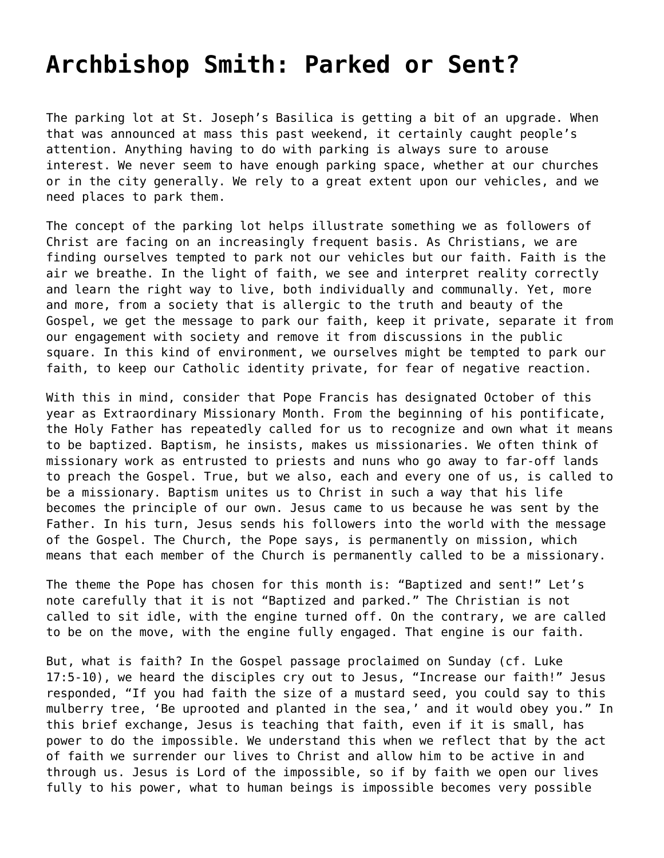## **[Archbishop Smith: Parked or Sent?](https://grandinmedia.ca/archbishop-smith-parked-or-sent/)**

The parking lot at St. Joseph's Basilica is getting a bit of an upgrade. When that was announced at mass this past weekend, it certainly caught people's attention. Anything having to do with parking is always sure to arouse interest. We never seem to have enough parking space, whether at our churches or in the city generally. We rely to a great extent upon our vehicles, and we need places to park them.

The concept of the parking lot helps illustrate something we as followers of Christ are facing on an increasingly frequent basis. As Christians, we are finding ourselves tempted to park not our vehicles but our faith. Faith is the air we breathe. In the light of faith, we see and interpret reality correctly and learn the right way to live, both individually and communally. Yet, more and more, from a society that is allergic to the truth and beauty of the Gospel, we get the message to park our faith, keep it private, separate it from our engagement with society and remove it from discussions in the public square. In this kind of environment, we ourselves might be tempted to park our faith, to keep our Catholic identity private, for fear of negative reaction.

With this in mind, consider that Pope Francis has designated October of this year as Extraordinary Missionary Month. From the beginning of his pontificate, the Holy Father has repeatedly called for us to recognize and own what it means to be baptized. Baptism, he insists, makes us missionaries. We often think of missionary work as entrusted to priests and nuns who go away to far-off lands to preach the Gospel. True, but we also, each and every one of us, is called to be a missionary. Baptism unites us to Christ in such a way that his life becomes the principle of our own. Jesus came to us because he was sent by the Father. In his turn, Jesus sends his followers into the world with the message of the Gospel. The Church, the Pope says, is permanently on mission, which means that each member of the Church is permanently called to be a missionary.

The theme the Pope has chosen for this month is: "Baptized and sent!" Let's note carefully that it is not "Baptized and parked." The Christian is not called to sit idle, with the engine turned off. On the contrary, we are called to be on the move, with the engine fully engaged. That engine is our faith.

But, what is faith? In the Gospel passage proclaimed on Sunday (cf. Luke 17:5-10), we heard the disciples cry out to Jesus, "Increase our faith!" Jesus responded, "If you had faith the size of a mustard seed, you could say to this mulberry tree, 'Be uprooted and planted in the sea,' and it would obey you." In this brief exchange, Jesus is teaching that faith, even if it is small, has power to do the impossible. We understand this when we reflect that by the act of faith we surrender our lives to Christ and allow him to be active in and through us. Jesus is Lord of the impossible, so if by faith we open our lives fully to his power, what to human beings is impossible becomes very possible